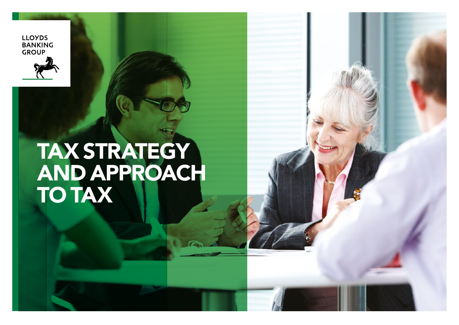

**LLOYDS** 

# TAX STRATEGY AND APPROACH TO TAX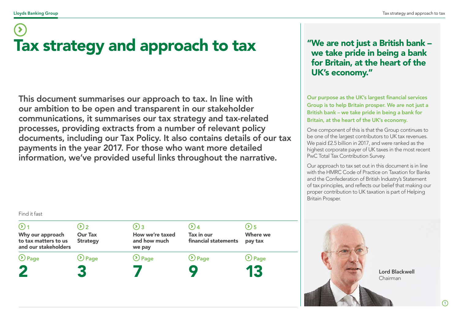Find it fast

# Tax strategy and approach to tax

This document summarises our approach to tax. In line with our ambition to be open and transparent in our stakeholder communications, it summarises our tax strategy and tax-related processes, providing extracts from a number of relevant policy documents, including our Tax Policy. It also contains details of our tax payments in the year 2017. For those who want more detailed information, we've provided useful links throughout the narrative.

### "We are not just a British bank – we take pride in being a bank for Britain, at the heart of the UK's economy."

Our purpose as the UK's largest financial services Group is to help Britain prosper. We are not just a British bank – we take pride in being a bank for Britain, at the heart of the UK's economy.

One component of this is that the Group continues to be one of the largest contributors to UK tax revenues. We paid £2.5 billion in 2017, and were ranked as the highest corporate payer of UK taxes in the most recent PwC Total Tax Contribution Survey.

Our approach to tax set out in this document is in line with the HMRC Code of Practice on Taxation for Banks and the Confederation of British Industry's Statement of tax principles, and reflects our belief that making our proper contribution to UK taxation is part of Helping Britain Prosper.

| Why our approach<br>to tax matters to us<br>and our stakeholders | $\boldsymbol{\Sigma}$<br><b>Our Tax</b><br><b>Strategy</b> | $(2)$ 3<br>How we're taxed<br>and how much<br>we pay | Tax in our<br>financial statements | $(2)$ 5<br>Where we<br>pay tax |
|------------------------------------------------------------------|------------------------------------------------------------|------------------------------------------------------|------------------------------------|--------------------------------|
| $\bigcirc$ Page                                                  | $\bigcirc$ Page                                            | $\bigcirc$ Page                                      | $\bigcirc$ Page                    | <b>⊙</b> Page                  |
| 2                                                                |                                                            |                                                      |                                    | 13                             |
|                                                                  |                                                            |                                                      |                                    |                                |

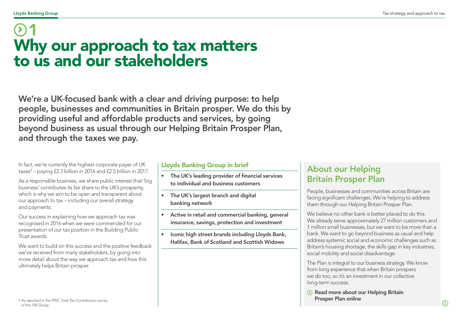### <span id="page-2-0"></span>Why our approach to tax matters to us and our stakeholders 1

We're a UK-focused bank with a clear and driving purpose: to help people, businesses and communities in Britain prosper. We do this by providing useful and affordable products and services, by going beyond business as usual through our Helping Britain Prosper Plan, and through the taxes we pay.

In fact, we're currently the highest corporate payer of UK  $taxes<sup>1</sup> – paying £2.3 billion in 2016 and £2.5 billion in 2017.$ 

As a responsible business, we share public interest that 'big business' contributes its fair share to the UK's prosperity, which is why we aim to be open and transparent about our approach to tax – including our overall strategy and payments.

Our success in explaining how we approach tax was recognised in 2016 when we were commended for our presentation of our tax position in the Building Public Trust awards.

We want to build on this success and the positive feedback we've received from many stakeholders, by going into more detail about the way we approach tax and how this ultimately helps Britain prosper.

### Lloyds Banking Group in brief

- The UK's leading provider of financial services to individual and business customers
- The UK's largest branch and digital banking network
- Active in retail and commercial banking, general insurance, savings, protection and investment
- Iconic high street brands including Lloyds Bank, Halifax, Bank of Scotland and Scottish Widows

### About our Helping Britain Prosper Plan

People, businesses and communities across Britain are facing significant challenges. We're helping to address them through our Helping Britain Prosper Plan.

We believe no other bank is better placed to do this. We already serve approximately 27 million customers and 1 million small businesses, but we want to be more than a bank. We want to go beyond business as usual and help address systemic social and economic challenges such as Britain's housing shortage, the skills gap in key industries, social mobility and social disadvantage.

The Plan is integral to our business strategy. We know from long experience that when Britain prospers we do too, so it's an investment in our collective long-term success.

 $\odot$  Read more about our Helping Britain [Prosper Plan online](https://www.lloydsbankinggroup.com/Our-Group/responsible-business/prosper-plan/)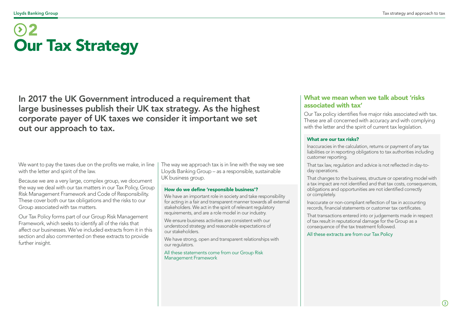# <span id="page-3-0"></span>2 Our Tax Strategy

In 2017 the UK Government introduced a requirement that large businesses publish their UK tax strategy. As the highest corporate payer of UK taxes we consider it important we set out our approach to tax.

We want to pay the taxes due on the profits we make, in line with the letter and spirit of the law.

Because we are a very large, complex group, we document the way we deal with our tax matters in our Tax Policy, Group Risk Management Framework and Code of Responsibility. These cover both our tax obligations and the risks to our Group associated with tax matters.

Our Tax Policy forms part of our Group Risk Management Framework, which seeks to identify all of the risks that affect our businesses. We've included extracts from it in this section and also commented on these extracts to provide further insight.

The way we approach tax is in line with the way we see Lloyds Banking Group – as a responsible, sustainable UK business group.

#### How do we define 'responsible business'?

We have an important role in society and take responsibility for acting in a fair and transparent manner towards all external stakeholders. We act in the spirit of relevant regulatory requirements, and are a role model in our industry.

We ensure business activities are consistent with our understood strategy and reasonable expectations of our stakeholders.

We have strong, open and transparent relationships with our regulators.

All these statements come from our Group Risk Management Framework

### What we mean when we talk about 'risks associated with tax'

Our Tax policy identifies five major risks associated with tax. These are all concerned with accuracy and with complying with the letter and the spirit of current tax legislation.

#### What are our tax risks?

Inaccuracies in the calculation, returns or payment of any tax liabilities or in reporting obligations to tax authorities including customer reporting.

That tax law, regulation and advice is not reflected in day-today operations.

That changes to the business, structure or operating model with a tax impact are not identified and that tax costs, consequences, obligations and opportunities are not identified correctly or completely.

Inaccurate or non-compliant reflection of tax in accounting records, financial statements or customer tax certificates.

That transactions entered into or judgements made in respect of tax result in reputational damage for the Group as a consequence of the tax treatment followed.

#### All these extracts are from our Tax Policy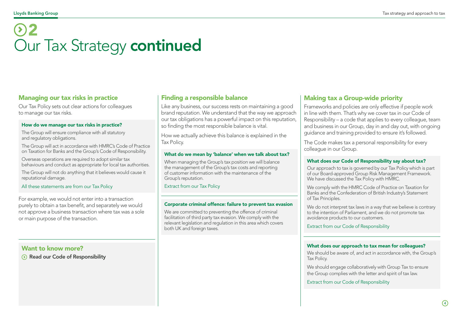# 2 Our Tax Strategy continued

#### Managing our tax risks in practice

Our Tax Policy sets out clear actions for colleagues to manage our tax risks.

#### How do we manage our tax risks in practice?

The Group will ensure compliance with all statutory and regulatory obligations.

The Group will act in accordance with HMRC's Code of Practice on Taxation for Banks and the Group's Code of Responsibility.

Overseas operations are required to adopt similar tax behaviours and conduct as appropriate for local tax authorities.

The Group will not do anything that it believes would cause it reputational damage.

#### All these statements are from our Tax Policy

For example, we would not enter into a transaction purely to obtain a tax benefit, and separately we would not approve a business transaction where tax was a sole or main purpose of the transaction.

#### Want to know more?

[Read our Code of Responsibility](http://www.lloydsbankinggroup.com/globalassets/our-group/responsible-business/download-centre/helping-britain-prosper-2017/lbg_prosperupdate2017_2017codeofresponsibility_pdf.pdf)

#### Finding a responsible balance

Like any business, our success rests on maintaining a good brand reputation. We understand that the way we approach our tax obligations has a powerful impact on this reputation, so finding the most responsible balance is vital.

How we actually achieve this balance is explained in the Tax Policy.

#### What do we mean by 'balance' when we talk about tax?

When managing the Group's tax position we will balance the management of the Group's tax costs and reporting of customer information with the maintenance of the Group's reputation.

Extract from our Tax Policy

#### Corporate criminal offence: failure to prevent tax evasion

We are committed to preventing the offence of criminal facilitation of third party tax evasion. We comply with the relevant legislation and regulation in this area which covers both UK and foreign taxes.

#### Making tax a Group-wide priority

Frameworks and policies are only effective if people work in line with them. That's why we cover tax in our Code of Responsibility – a code that applies to every colleague, team and business in our Group, day in and day out, with ongoing guidance and training provided to ensure it's followed.

The Code makes tax a personal responsibility for every colleague in our Group.

#### What does our Code of Responsibility say about tax?

Our approach to tax is governed by our Tax Policy which is part of our Board-approved Group Risk Management Framework. We have discussed the Tax Policy with HMRC.

We comply with the HMRC Code of Practice on Taxation for Banks and the Confederation of British Industry's Statement of Tax Principles.

We do not interpret tax laws in a way that we believe is contrary to the intention of Parliament, and we do not promote tax avoidance products to our customers.

Extract from our Code of Responsibility

#### What does our approach to tax mean for colleagues?

We should be aware of, and act in accordance with, the Group's Tax Policy.

We should engage collaboratively with Group Tax to ensure the Group complies with the letter and spirit of tax law.

Extract from our Code of Responsibility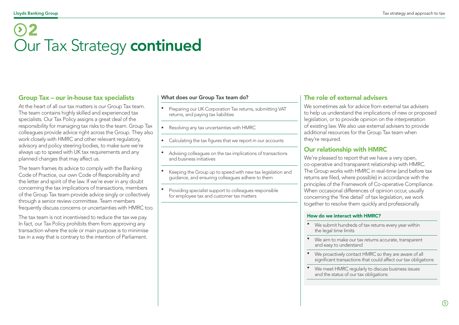# 2 Our Tax Strategy continued

#### Group Tax – our in-house tax specialists

At the heart of all our tax matters is our Group Tax team. The team contains highly skilled and experienced tax specialists. Our Tax Policy assigns a great deal of the responsibility for managing tax risks to the team. Group Tax colleagues provide advice right across the Group. They also work closely with HMRC and other relevant regulatory, advisory and policy steering bodies, to make sure we're always up to speed with UK tax requirements and any planned changes that may affect us.

The team frames its advice to comply with the Banking Code of Practice, our own Code of Responsibility and the letter and spirit of the law. If we're ever in any doubt concerning the tax implications of transactions, members of the Group Tax team provide advice singly or collectively through a senior review committee. Team members frequently discuss concerns or uncertainties with HMRC too.

The tax team is not incentivised to reduce the tax we pay. In fact, our Tax Policy prohibits them from approving any transaction where the sole or main purpose is to minimise tax in a way that is contrary to the intention of Parliament.

#### What does our Group Tax team do?

- Preparing our UK Corporation Tax returns, submitting VAT returns, and paying tax liabilities
- Resolving any tax uncertainties with HMRC
- Calculating the tax figures that we report in our accounts
- Advising colleagues on the tax implications of transactions and business initiatives
- Keeping the Group up to speed with new tax legislation and guidance, and ensuring colleagues adhere to them
- Providing specialist support to colleagues responsible for employee tax and customer tax matters

#### The role of external advisers

We sometimes ask for advice from external tax advisers to help us understand the implications of new or proposed legislation, or to provide opinion on the interpretation of existing law. We also use external advisers to provide additional resources for the Group Tax team when they're required.

#### Our relationship with HMRC

We're pleased to report that we have a very open. co-operative and transparent relationship with HMRC. The Group works with HMRC in real-time (and before tax returns are filed, where possible) in accordance with the principles of the Framework of Co-operative Compliance. When occasional differences of opinion occur, usually concerning the 'fine detail' of tax legislation, we work together to resolve them quickly and professionally.

#### How do we interact with HMRC?

- We submit hundreds of tax returns every year within the legal time limits
- We aim to make our tax returns accurate, transparent and easy to understand
- We proactively contact HMRC so they are aware of all significant transactions that could affect our tax obligations
- We meet HMRC regularly to discuss business issues and the status of our tax obligations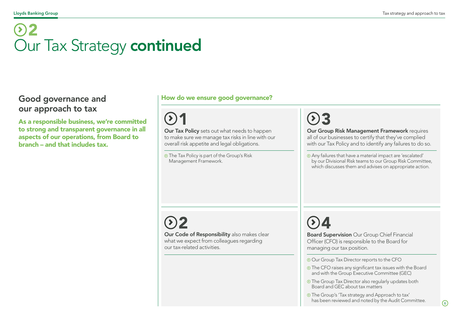# 2 Our Tax Strategy continued

### Good governance and our approach to tax

As a responsible business, we're committed to strong and transparent governance in all aspects of our operations, from Board to branch – and that includes tax.

### How do we ensure good governance?

**Our Tax Policy** sets out what needs to happen to make sure we manage tax risks in line with our overall risk appetite and legal obligations.

**O** The Tax Policy is part of the Group's Risk Management Framework.

 $1$  03

Our Group Risk Management Framework requires all of our businesses to certify that they've complied with our Tax Policy and to identify any failures to do so.

Any failures that have a material impact are 'escalated' by our Divisional Risk teams to our Group Risk Committee, which discusses them and advises on appropriate action.

# 2

Our Code of Responsibility also makes clear what we expect from colleagues regarding our tax-related activities.

4 Board Supervision Our Group Chief Financial Officer (CFO) is responsible to the Board for managing our tax position.

Our Group Tax Director reports to the CFO

- **O** The CFO raises any significant tax issues with the Board and with the Group Executive Committee (GEC)
- **The Group Tax Director also regularly updates both** Board and GEC about tax matters
- The Group's 'Tax strategy and Approach to tax' has been reviewed and noted by the Audit Committee.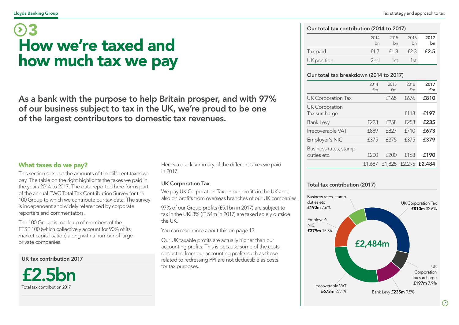#### <span id="page-7-0"></span>Lloyds Banking Group Tax strategy and approach to tax

# How we're taxed and how much tax we pay 3

As a bank with the purpose to help Britain prosper, and with 97% of our business subject to tax in the UK, we're proud to be one of the largest contributors to domestic tax revenues.

This section sets out the amounts of the different taxes we pay. The table on the right highlights the taxes we paid in the years 2014 to 2017. The data reported here forms part of the annual PWC Total Tax Contribution Survey for the 100 Group to which we contribute our tax data. The survey is independent and widely referenced by corporate reporters and commentators.

The 100 Group is made up of members of the FTSE 100 (which collectively account for 90% of its market capitalisation) along with a number of large private companies.

UK tax contribution 2017



What taxes do we pay? There's a quick summary of the different taxes we paid the state of the state of the state of the state of the different taxes we paid the state of the state of the state of the state of the state of in 2017.

#### UK Corporation Tax

We pay UK Corporation Tax on our profits in the UK and also on profits from overseas branches of our UK companies.

97% of our Group profits (£5.1bn in 2017) are subject to tax in the UK. 3% (£154m in 2017) are taxed solely outside the UK.

You can read more about this on page 13.

Our UK taxable profits are actually higher than our accounting profits. This is because some of the costs deducted from our accounting profits such as those related to redressing PPI are not deductible as costs for tax purposes.

#### Our total tax contribution (2014 to 2017)

|             | 2014<br>bn | 2015<br>bn | 2016<br>bn | 2017<br>bn |
|-------------|------------|------------|------------|------------|
| Tax paid    | f1.7       | f1.8       | f2.3       | £2.5       |
| UK position | 2nd        | 1st        | 1st        |            |

#### Our total tax breakdown (2014 to 2017)

|                                        | 2014<br>£m  | 2015<br>£m | 2016<br>fm | 2017<br>£m                  |
|----------------------------------------|-------------|------------|------------|-----------------------------|
| <b>UK Corporation Tax</b>              |             | £165       | £676       | £810                        |
| <b>UK Corporation</b><br>Tax surcharge |             |            | £118       | £197                        |
| <b>Bank Levy</b>                       | f223        | £258       | £253       | £235                        |
| Irrecoverable VAT                      | £889        | f827       | f710       | £673                        |
| Employer's NIC                         | £375        | £375       | £375       | £379                        |
| Business rates, stamp<br>duties etc.   | <b>£200</b> | f200       | £163       | £190                        |
|                                        | £1.687      |            |            | £1,825 £2,295 <b>£2,484</b> |

#### Total tax contribution (2017)



 $\Omega$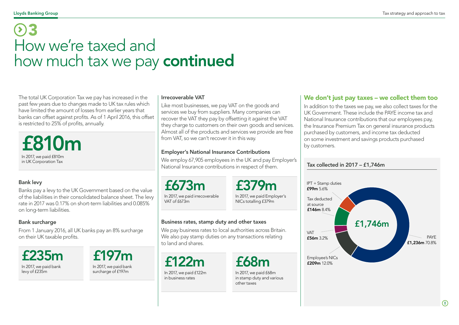# 3 How we're taxed and how much tax we pay continued

The total UK Corporation Tax we pay has increased in the past few years due to changes made to UK tax rules which have limited the amount of losses from earlier years that banks can offset against profits. As of 1 April 2016, this offset is restricted to 25% of profits, annually.

£810m In 2017, we paid £810m in UK Corporation Tax

#### Bank levy

Banks pay a levy to the UK Government based on the value of the liabilities in their consolidated balance sheet. The levy rate in 2017 was 0.17% on short-term liabilities and 0.085% on long-term liabilities.

#### Bank surcharge

From 1 January 2016, all UK banks pay an 8% surcharge on their UK taxable profits.

£235m In 2017, we paid bank levy of £235m

£197m In 2017, we paid bank surcharge of £197m

#### Irrecoverable VAT

Like most businesses, we pay VAT on the goods and services we buy from suppliers. Many companies can recover the VAT they pay by offsetting it against the VAT they charge to customers on their own goods and services. Almost all of the products and services we provide are free from VAT, so we can't recover it in this way.

#### Employer's National Insurance Contributions

We employ 67,905 employees in the UK and pay Employer's National Insurance contributions in respect of them.

£673m

£379m

In 2017, we paid irrecoverable VAT of £673m

In 2017, we paid Employer's NICs totalling £379m

#### Business rates, stamp duty and other taxes

We pay business rates to local authorities across Britain. We also pay stamp duties on any transactions relating to land and shares.

£122m In 2017, we paid £122m in business rates

# £68m

In 2017, we paid £68m in stamp duty and various other taxes

### We don't just pay taxes – we collect them too

In addition to the taxes we pay, we also collect taxes for the UK Government. These include the PAYE income tax and National Insurance contributions that our employees pay, the Insurance Premium Tax on general insurance products purchased by customers, and income tax deducted on some investment and savings products purchased by customers.



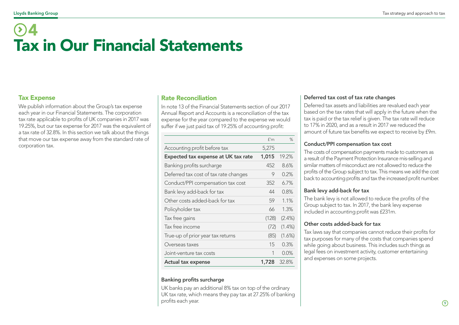# <span id="page-9-0"></span>4 Tax in Our Financial Statements

### Tax Expense

We publish information about the Group's tax expense each year in our Financial Statements. The corporation tax rate applicable to profits of UK companies in 2017 was 19.25%, but our tax expense for 2017 was the equivalent of a tax rate of 32.8%. In this section we talk about the things that move our tax expense away from the standard rate of corporation tax.

#### Rate Reconciliation

In note 13 of the Financial Statements section of our 2017 Annual Report and Accounts is a reconciliation of the tax expense for the year compared to the expense we would suffer if we just paid tax of 19.25% of accounting profit:

| <b>Actual tax expense</b>             | 1,728 | 32.8%     |
|---------------------------------------|-------|-----------|
| Joint-venture tax costs               | 1     | $0.0\%$   |
| Overseas taxes                        | 15    | 0.3%      |
| True-up of prior year tax returns     | (85)  | $(1.6\%)$ |
| Tax free income                       | (72)  | $(1.4\%)$ |
| Tax free gains                        | (128) | $(2.4\%)$ |
| Policyholder tax                      | 66    | 1.3%      |
| Other costs added-back for tax        | 59    | 1.1%      |
| Bank levy add-back for tax            | 44    | 0.8%      |
| Conduct/PPI compensation tax cost     | 352   | 6.7%      |
| Deferred tax cost of tax rate changes | 9     | 0.2%      |
| Banking profits surcharge             | 452   | 8.6%      |
| Expected tax expense at UK tax rate   | 1,015 | 19.2%     |
| Accounting profit before tax          | 5,275 |           |
|                                       | f'm   | $\%$      |

#### Banking profits surcharge

UK banks pay an additional 8% tax on top of the ordinary UK tax rate, which means they pay tax at 27.25% of banking profits each year.

#### Deferred tax cost of tax rate changes

Deferred tax assets and liabilities are revalued each year based on the tax rates that will apply in the future when the tax is paid or the tax relief is given. The tax rate will reduce to 17% in 2020, and as a result in 2017 we reduced the amount of future tax benefits we expect to receive by £9m.

#### Conduct/PPI compensation tax cost

The costs of compensation payments made to customers as a result of the Payment Protection Insurance mis-selling and similar matters of misconduct are not allowed to reduce the profits of the Group subject to tax. This means we add the cost back to accounting profits and tax the increased profit number.

#### Bank levy add-back for tax

The bank levy is not allowed to reduce the profits of the Group subject to tax. In 2017, the bank levy expense included in accounting profit was £231m.

#### Other costs added-back for tax

Tax laws say that companies cannot reduce their profits for tax purposes for many of the costs that companies spend while going about business. This includes such things as legal fees on investment activity, customer entertaining and expenses on some projects.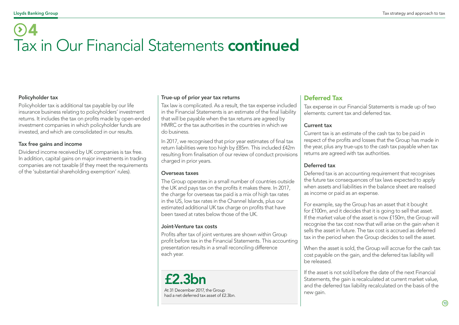# 4 Tax in Our Financial Statements continued

#### Policyholder tax

Policyholder tax is additional tax payable by our life insurance business relating to policyholders' investment returns. It includes the tax on profits made by open-ended investment companies in which policyholder funds are invested, and which are consolidated in our results.

#### Tax free gains and income

Dividend income received by UK companies is tax free. In addition, capital gains on major investments in trading companies are not taxable (if they meet the requirements of the 'substantial shareholding exemption' rules).

#### True-up of prior year tax returns

Tax law is complicated. As a result, the tax expense included in the Financial Statements is an estimate of the final liability that will be payable when the tax returns are agreed by HMRC or the tax authorities in the countries in which we do business.

In 2017, we recognised that prior year estimates of final tax return liabilities were too high by £85m. This included £42m resulting from finalisation of our review of conduct provisions charged in prior years.

#### Overseas taxes

The Group operates in a small number of countries outside the UK and pays tax on the profits it makes there. In 2017, the charge for overseas tax paid is a mix of high tax rates in the US, low tax rates in the Channel Islands, plus our estimated additional UK tax charge on profits that have been taxed at rates below those of the UK.

#### Joint-Venture tax costs

Profits after tax of joint ventures are shown within Group profit before tax in the Financial Statements. This accounting presentation results in a small reconciling difference each year.

£2.3bn At 31 December 2017, the Group had a net deferred tax asset of £2.3bn.

### Deferred Tax

Tax expense in our Financial Statements is made up of two elements: current tax and deferred tax.

#### Current tax

Current tax is an estimate of the cash tax to be paid in respect of the profits and losses that the Group has made in the year, plus any true-ups to the cash tax payable when tax returns are agreed with tax authorities.

#### Deferred tax

Deferred tax is an accounting requirement that recognises the future tax consequences of tax laws expected to apply when assets and liabilities in the balance sheet are realised as income or paid as an expense.

For example, say the Group has an asset that it bought for £100m, and it decides that it is going to sell that asset. If the market value of the asset is now £150m, the Group will recognise the tax cost now that will arise on the gain when it sells the asset in future. The tax cost is accrued as deferred tax in the period when the Group decides to sell the asset.

When the asset is sold, the Group will accrue for the cash tax cost payable on the gain, and the deferred tax liability will be released.

If the asset is not sold before the date of the next Financial Statements, the gain is recalculated at current market value, and the deferred tax liability recalculated on the basis of the new gain.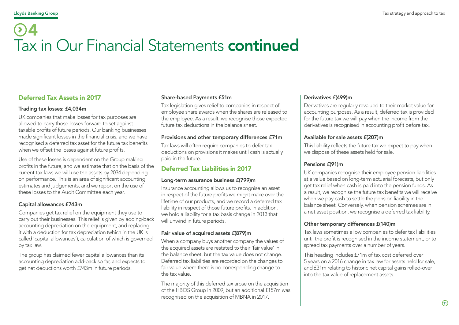# 4 Tax in Our Financial Statements continued

### Deferred Tax Assets in 2017

#### Trading tax losses: £4,034m

UK companies that make losses for tax purposes are allowed to carry those losses forward to set against taxable profits of future periods. Our banking businesses made significant losses in the financial crisis, and we have recognised a deferred tax asset for the future tax benefits when we offset the losses against future profits.

Use of these losses is dependent on the Group making profits in the future, and we estimate that on the basis of the current tax laws we will use the assets by 2034 depending on performance. This is an area of significant accounting estimates and judgements, and we report on the use of these losses to the Audit Committee each year.

#### Capital allowances £743m

Companies get tax relief on the equipment they use to carry out their businesses. This relief is given by adding-back accounting depreciation on the equipment, and replacing it with a deduction for tax depreciation (which in the UK is called 'capital allowances'), calculation of which is governed by tax law.

The group has claimed fewer capital allowances than its accounting depreciation add-back so far, and expects to get net deductions worth £743m in future periods.

#### Share-based Payments £51m

Tax legislation gives relief to companies in respect of employee share awards when the shares are released to the employee. As a result, we recognise those expected future tax deductions in the balance sheet.

#### Provisions and other temporary differences £71m

Tax laws will often require companies to defer tax deductions on provisions it makes until cash is actually paid in the future.

### Deferred Tax Liabilities in 2017

#### Long-term assurance business £(799)m

Insurance accounting allows us to recognise an asset in respect of the future profits we might make over the lifetime of our products, and we record a deferred tax liability in respect of those future profits. In addition, we hold a liability for a tax basis change in 2013 that will unwind in future periods.

#### Fair value of acquired assets £(879)m

When a company buys another company the values of the acquired assets are restated to their 'fair value' in the balance sheet, but the tax value does not change. Deferred tax liabilities are recorded on the changes to fair value where there is no corresponding change to the tax value.

The majority of this deferred tax arose on the acquisition of the HBOS Group in 2009, but an additional £157m was recognised on the acquisition of MBNA in 2017.

#### Derivatives £(499)m

Derivatives are regularly revalued to their market value for accounting purposes. As a result, deferred tax is provided for the future tax we will pay when the income from the derivatives is recognised in accounting profit before tax.

#### Available for sale assets £(207)m

This liability reflects the future tax we expect to pay when we dispose of these assets held for sale.

#### Pensions £(91)m

UK companies recognise their employee pension liabilities at a value based on long-term actuarial forecasts, but only get tax relief when cash is paid into the pension funds. As a result, we recognise the future tax benefits we will receive when we pay cash to settle the pension liability in the balance sheet. Conversely, when pension schemes are in a net asset position, we recognise a deferred tax liability.

#### Other temporary differences £(140)m

Tax laws sometimes allow companies to defer tax liabilities until the profit is recognised in the income statement, or to spread tax payments over a number of years.

This heading includes £71m of tax cost deferred over 5 years on a 2016 change in tax law for assets held for sale, and £31m relating to historic net capital gains rolled-over into the tax value of replacement assets.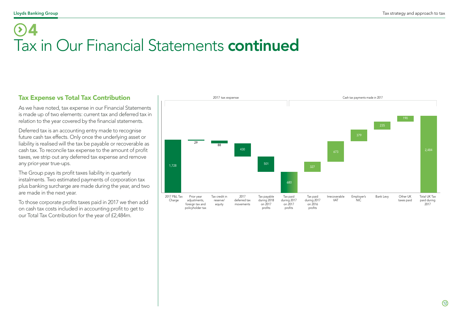# 4 Tax in Our Financial Statements continued

### Tax Expense vs Total Tax Contribution

As we have noted, tax expense in our Financial Statements is made up of two elements: current tax and deferred tax in relation to the year covered by the financial statements.

Deferred tax is an accounting entry made to recognise future cash tax effects. Only once the underlying asset or liability is realised will the tax be payable or recoverable as cash tax. To reconcile tax expense to the amount of profit taxes, we strip out any deferred tax expense and remove any prior-year true-ups.

The Group pays its profit taxes liability in quarterly instalments. Two estimated payments of corporation tax plus banking surcharge are made during the year, and two are made in the next year.

To those corporate profits taxes paid in 2017 we then add on cash tax costs included in accounting profit to get to our Total Tax Contribution for the year of £2,484m.

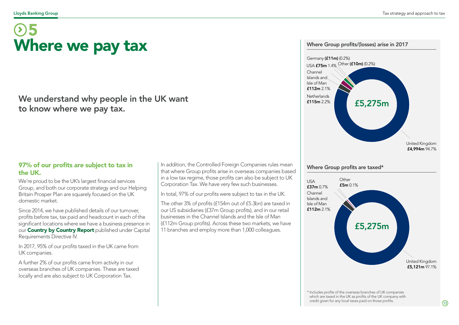# <span id="page-13-0"></span>Where we pay tax 5

### We understand why people in the UK want to know where we pay tax.

### 97% of our profits are subject to tax in the UK.

We're proud to be the UK's largest financial services Group, and both our corporate strategy and our Helping Britain Prosper Plan are squarely focused on the UK domestic market.

Since 2014, we have published details of our turnover, profits before tax, tax paid and headcount in each of the significant locations where we have a business presence in our **[Country by Country Report](https://www.lloydsbankinggroup.com/globalassets/documents/investors/2018/2017_lbg_crdiv_country_by_country_disclosures.pdf)** published under Capital Requirements Directive IV.

In 2017, 95% of our profits taxed in the UK came from UK companies.

A further 2% of our profits came from activity in our overseas branches of UK companies. These are taxed locally and are also subject to UK Corporation Tax.

In addition, the Controlled Foreign Companies rules mean that where Group profits arise in overseas companies based in a low tax regime, those profits can also be subject to UK Corporation Tax. We have very few such businesses.

In total, 97% of our profits were subject to tax in the UK.

The other 3% of profits (£154m out of £5.3bn) are taxed in our US subsidiaries (£37m Group profits), and in our retail businesses in the Channel Islands and the Isle of Man (£112m Group profits). Across these two markets, we have 11 branches and employ more than 1,000 colleagues.



#### Where Group profits are taxed\*



\* Includes profits of the overseas branches of UK companies which are taxed in the UK as profits of the UK company with credit given for any local taxes paid on those profits.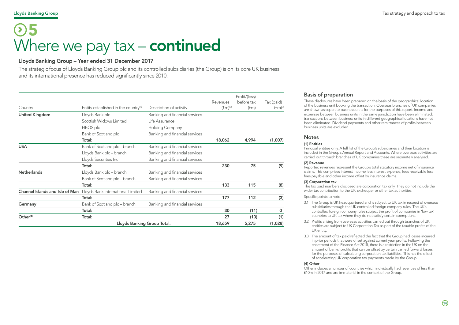#### Lloyds Banking Group Tax strategy and approach to tax

# 5 Where we pay  $tax -$  continued

#### Lloyds Banking Group – Year ended 31 December 2017

The strategic focus of Lloyds Banking Group plc and its controlled subsidiaries (the Group) is on its core UK business and its international presence has reduced significantly since 2010.

|                                 |                                                  |                                |              | Profit/(loss) |              |
|---------------------------------|--------------------------------------------------|--------------------------------|--------------|---------------|--------------|
|                                 |                                                  |                                | Revenues     | before tax    | Tax (paid)   |
| Country                         | Entity established in the country <sup>(1)</sup> | Description of activity        | $(fm)^{(2)}$ | (fm)          | $(fm)^{(3)}$ |
| <b>United Kingdom</b>           | Lloyds Bank plc                                  | Banking and financial services |              |               |              |
|                                 | Scottish Widows Limited                          | Life Assurance                 |              |               |              |
|                                 | HBOS plc                                         | Holding Company                |              |               |              |
|                                 | Bank of Scotland plc                             | Banking and financial services |              |               |              |
|                                 | Total:                                           |                                | 18,062       | 4,994         | (1,007)      |
| <b>USA</b>                      | Bank of Scotland plc - branch                    | Banking and financial services |              |               |              |
|                                 | Lloyds Bank plc - branch                         | Banking and financial services |              |               |              |
|                                 | Lloyds Securities Inc                            | Banking and financial services |              |               |              |
|                                 | Total:                                           |                                | 230          | 75            | (9)          |
| <b>Netherlands</b>              | Lloyds Bank plc - branch                         | Banking and financial services |              |               |              |
|                                 | Bank of Scotland plc - branch                    | Banking and financial services |              |               |              |
|                                 | Total:                                           |                                | 133          | 115           | (8)          |
| Channel Islands and Isle of Man | Lloyds Bank International Limited                | Banking and financial services |              |               |              |
|                                 | Total:                                           |                                | 177          | 112           | (3)          |
| Germany                         | Bank of Scotland plc - branch                    | Banking and financial services |              |               |              |
|                                 | Total:                                           |                                | 30           | (11)          | 0            |
| Other <sup>(4)</sup>            | Total:                                           |                                | 27           | (10)          | (1)          |
| Lloyds Banking Group Total:     |                                                  |                                | 18,659       | 5,275         | (1,028)      |

#### Basis of preparation

These disclosures have been prepared on the basis of the geographical location of the business unit booking the transaction. Overseas branches of UK companies are shown as separate business units for the purposes of this report. Income and expenses between business units in the same jurisdiction have been eliminated; transactions between business units in different geographical locations have not been eliminated. Dividend payments and other remittances of profits between business units are excluded.

#### **Notes**

#### (1) Entities

Principal entities only. A full list of the Group's subsidiaries and their location is included in the Group's Annual Report and Accounts. Where overseas activities are carried out through branches of UK companies these are separately analysed.

#### (2) Revenue

Reported revenues represent the Group's total statutory income net of insurance claims. This comprises interest income less interest expense, fees receivable less fees payable and other income offset by insurance claims.

#### (3) Corporation tax

The tax paid numbers disclosed are corporation tax only. They do not include the wider tax contribution to the UK Exchequer or other tax authorities.

#### Specific points to note

- 3.1 The Group is UK headquartered and is subject to UK tax in respect of overseas subsidiaries through the UK controlled foreign company rules. The UK's controlled foreign company rules subject the profit of companies in 'low tax' countries to UK tax where they do not satisfy certain exemptions.
- 3.2 Profits arising from overseas activities carried out through branches of UK entities are subject to UK Corporation Tax as part of the taxable profits of the UK entity.
- 3.3 The amount of tax paid reflected the fact that the Group had losses incurred in prior periods that were offset against current year profits. Following the enactment of the Finance Act 2015, there is a restriction in the UK on the amount of banks' profits that can be offset by certain carried forward losses for the purposes of calculating corporation tax liabilities. This has the effect of accelerating UK corporation tax payments made by the Group.

#### (4) Other

Other includes a number of countries which individually had revenues of less than £10m in 2017 and are immaterial in the context of the Group.